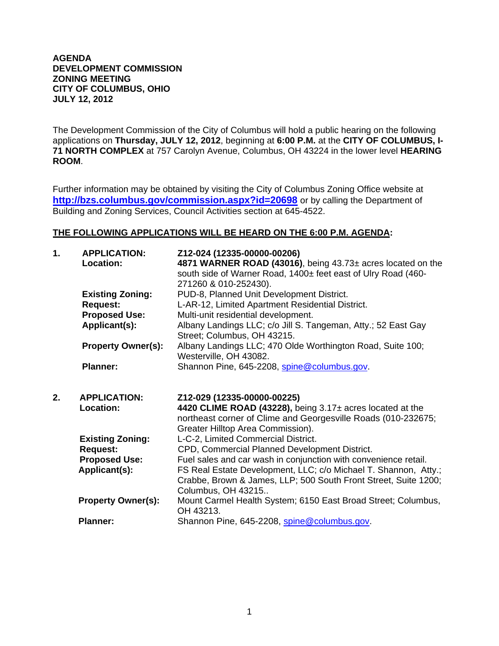## **AGENDA DEVELOPMENT COMMISSION ZONING MEETING CITY OF COLUMBUS, OHIO JULY 12, 2012**

The Development Commission of the City of Columbus will hold a public hearing on the following applications on **Thursday, JULY 12, 2012**, beginning at **6:00 P.M.** at the **CITY OF COLUMBUS, I-71 NORTH COMPLEX** at 757 Carolyn Avenue, Columbus, OH 43224 in the lower level **HEARING ROOM**.

Further information may be obtained by visiting the City of Columbus Zoning Office website at **http://bzs.columbus.gov/commission.aspx?id=20698** or by calling the Department of Building and Zoning Services, Council Activities section at 645-4522.

## **THE FOLLOWING APPLICATIONS WILL BE HEARD ON THE 6:00 P.M. AGENDA:**

| 1. | <b>APPLICATION:</b><br>Location: | Z12-024 (12335-00000-00206)<br>4871 WARNER ROAD (43016), being 43.73± acres located on the<br>south side of Warner Road, 1400± feet east of Ulry Road (460-<br>271260 & 010-252430). |
|----|----------------------------------|--------------------------------------------------------------------------------------------------------------------------------------------------------------------------------------|
|    | <b>Existing Zoning:</b>          | PUD-8, Planned Unit Development District.                                                                                                                                            |
|    | <b>Request:</b>                  | L-AR-12, Limited Apartment Residential District.                                                                                                                                     |
|    | <b>Proposed Use:</b>             | Multi-unit residential development.                                                                                                                                                  |
|    | Applicant(s):                    | Albany Landings LLC; c/o Jill S. Tangeman, Atty.; 52 East Gay<br>Street; Columbus, OH 43215.                                                                                         |
|    | <b>Property Owner(s):</b>        | Albany Landings LLC; 470 Olde Worthington Road, Suite 100;<br>Westerville, OH 43082.                                                                                                 |
|    | <b>Planner:</b>                  | Shannon Pine, 645-2208, spine@columbus.gov.                                                                                                                                          |
| 2. |                                  |                                                                                                                                                                                      |
|    | <b>APPLICATION:</b>              | Z12-029 (12335-00000-00225)                                                                                                                                                          |
|    | Location:                        | 4420 CLIME ROAD (43228), being 3.17± acres located at the<br>northeast corner of Clime and Georgesville Roads (010-232675;                                                           |
|    |                                  | Greater Hilltop Area Commission).                                                                                                                                                    |
|    | <b>Existing Zoning:</b>          | L-C-2, Limited Commercial District.                                                                                                                                                  |
|    | <b>Request:</b>                  | CPD, Commercial Planned Development District.                                                                                                                                        |
|    | <b>Proposed Use:</b>             | Fuel sales and car wash in conjunction with convenience retail.                                                                                                                      |
|    | Applicant(s):                    | FS Real Estate Development, LLC; c/o Michael T. Shannon, Atty.;<br>Crabbe, Brown & James, LLP; 500 South Front Street, Suite 1200;<br>Columbus, OH 43215                             |
|    | <b>Property Owner(s):</b>        | Mount Carmel Health System; 6150 East Broad Street; Columbus,<br>OH 43213.                                                                                                           |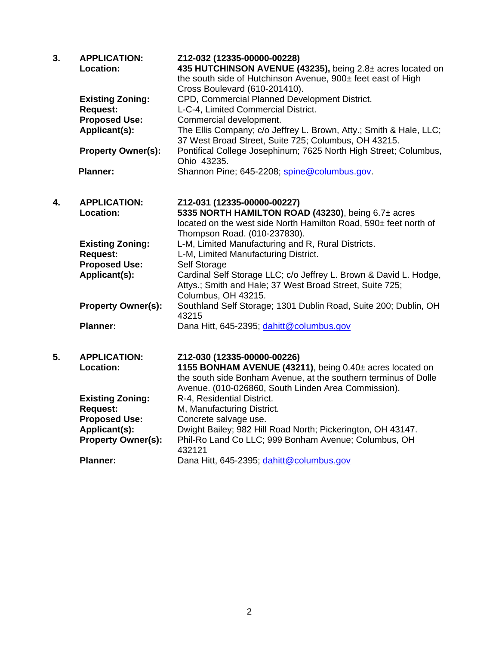| 3. | <b>APPLICATION:</b><br>Location:        | Z12-032 (12335-00000-00228)<br>435 HUTCHINSON AVENUE (43235), being 2.8± acres located on<br>the south side of Hutchinson Avenue, 900± feet east of High<br>Cross Boulevard (610-201410). |
|----|-----------------------------------------|-------------------------------------------------------------------------------------------------------------------------------------------------------------------------------------------|
|    | <b>Existing Zoning:</b>                 | CPD, Commercial Planned Development District.                                                                                                                                             |
|    | <b>Request:</b>                         | L-C-4, Limited Commercial District.                                                                                                                                                       |
|    | <b>Proposed Use:</b>                    | Commercial development.                                                                                                                                                                   |
|    | Applicant(s):                           | The Ellis Company; c/o Jeffrey L. Brown, Atty.; Smith & Hale, LLC;                                                                                                                        |
|    | <b>Property Owner(s):</b>               | 37 West Broad Street, Suite 725; Columbus, OH 43215.<br>Pontifical College Josephinum; 7625 North High Street; Columbus,                                                                  |
|    |                                         | Ohio 43235.                                                                                                                                                                               |
|    | <b>Planner:</b>                         | Shannon Pine; 645-2208; spine@columbus.gov.                                                                                                                                               |
|    |                                         |                                                                                                                                                                                           |
| 4. | <b>APPLICATION:</b>                     | Z12-031 (12335-00000-00227)                                                                                                                                                               |
|    | Location:                               | 5335 NORTH HAMILTON ROAD (43230), being 6.7± acres                                                                                                                                        |
|    |                                         | located on the west side North Hamilton Road, 590± feet north of                                                                                                                          |
|    |                                         | Thompson Road. (010-237830).                                                                                                                                                              |
|    | <b>Existing Zoning:</b>                 | L-M, Limited Manufacturing and R, Rural Districts.                                                                                                                                        |
|    | <b>Request:</b>                         | L-M, Limited Manufacturing District.                                                                                                                                                      |
|    | <b>Proposed Use:</b><br>Applicant(s):   | Self Storage<br>Cardinal Self Storage LLC; c/o Jeffrey L. Brown & David L. Hodge,                                                                                                         |
|    |                                         | Attys.; Smith and Hale; 37 West Broad Street, Suite 725;                                                                                                                                  |
|    |                                         | Columbus, OH 43215.                                                                                                                                                                       |
|    | <b>Property Owner(s):</b>               | Southland Self Storage; 1301 Dublin Road, Suite 200; Dublin, OH<br>43215                                                                                                                  |
|    | <b>Planner:</b>                         | Dana Hitt, 645-2395; dahitt@columbus.gov                                                                                                                                                  |
|    |                                         |                                                                                                                                                                                           |
| 5. | <b>APPLICATION:</b>                     | Z12-030 (12335-00000-00226)                                                                                                                                                               |
|    | Location:                               | 1155 BONHAM AVENUE (43211), being 0.40± acres located on                                                                                                                                  |
|    |                                         | the south side Bonham Avenue, at the southern terminus of Dolle                                                                                                                           |
|    |                                         | Avenue. (010-026860, South Linden Area Commission).                                                                                                                                       |
|    | <b>Existing Zoning:</b>                 | R-4, Residential District.                                                                                                                                                                |
|    | <b>Request:</b><br><b>Proposed Use:</b> | M, Manufacturing District.<br>Concrete salvage use.                                                                                                                                       |
|    | Applicant(s):                           | Dwight Bailey; 982 Hill Road North; Pickerington, OH 43147.                                                                                                                               |
|    | <b>Property Owner(s):</b>               | Phil-Ro Land Co LLC; 999 Bonham Avenue; Columbus, OH                                                                                                                                      |
|    |                                         | 432121                                                                                                                                                                                    |
|    | <b>Planner:</b>                         | Dana Hitt, 645-2395; dahitt@columbus.gov                                                                                                                                                  |